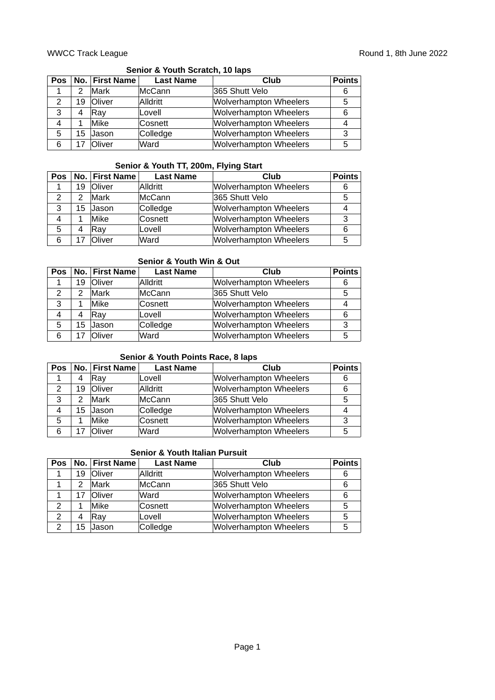## **Senior & Youth Scratch, 10 laps**

| Pos           |    | No. First Name | <b>Last Name</b> | Club                          | <b>Points</b> |
|---------------|----|----------------|------------------|-------------------------------|---------------|
|               | 2  | Mark           | McCann           | 365 Shutt Velo                | 6             |
| $\mathcal{P}$ | 19 | Oliver         | Alldritt         | <b>Wolverhampton Wheelers</b> | 5             |
| 3             | 4  | Rav            | Lovell           | <b>Wolverhampton Wheelers</b> |               |
| 4             |    | Mike           | Cosnett          | <b>Wolverhampton Wheelers</b> |               |
| 5             | 15 | Jason          | Colledge         | <b>Wolverhampton Wheelers</b> | 3             |
| 6             | 17 | <b>Oliver</b>  | Ward             | <b>Wolverhampton Wheelers</b> | 5             |

## **Senior & Youth TT, 200m, Flying Start**

| Pos |    | No.   First Name | <b>Last Name</b> | Club                          | <b>Points</b> |
|-----|----|------------------|------------------|-------------------------------|---------------|
|     | 19 | Oliver           | Alldritt         | <b>Wolverhampton Wheelers</b> | 6             |
|     |    | Mark             | McCann           | 365 Shutt Velo                | 5             |
| 3   |    | 15 Jason         | Colledge         | <b>Wolverhampton Wheelers</b> |               |
| 4   |    | Mike             | Cosnett          | <b>Wolverhampton Wheelers</b> | 3             |
| 5   |    | Ray              | Lovell           | <b>Wolverhampton Wheelers</b> | 6             |
|     | 17 | Oliver           | Ward             | <b>Wolverhampton Wheelers</b> | 5             |

## **Senior & Youth Win & Out**

| Pos |    | No. First Name | <b>Last Name</b> | Club                          | <b>Points</b> |
|-----|----|----------------|------------------|-------------------------------|---------------|
|     | 19 | <b>Oliver</b>  | Alldritt         | <b>Wolverhampton Wheelers</b> | 6             |
|     | 2  | Mark           | McCann           | 365 Shutt Velo                | 5             |
| 3   |    | Mike           | Cosnett          | <b>Wolverhampton Wheelers</b> | 4             |
| 4   | 4  | Ray            | Lovell           | <b>Wolverhampton Wheelers</b> | 6             |
| 5   | 15 | Jason          | Colledge         | <b>Wolverhampton Wheelers</b> | 3             |
| 6   | 17 | Oliver         | Ward             | <b>Wolverhampton Wheelers</b> | 5             |

#### **Senior & Youth Points Race, 8 laps**

| <b>Pos</b> |    | No. First Name | <b>Last Name</b> | Club                          | <b>Points</b> |
|------------|----|----------------|------------------|-------------------------------|---------------|
|            | 4  | Rav            | Lovell           | <b>Wolverhampton Wheelers</b> | 6             |
|            | 19 | <b>Oliver</b>  | Alldritt         | <b>Wolverhampton Wheelers</b> | 6             |
| 3          |    | Mark           | McCann           | 365 Shutt Velo                | 5             |
|            | 15 | Jason          | Colledge         | <b>Wolverhampton Wheelers</b> |               |
| 5          |    | <b>Mike</b>    | Cosnett          | <b>Wolverhampton Wheelers</b> | 3             |
|            |    | Oliver         | Ward             | <b>Wolverhampton Wheelers</b> |               |

# **Senior & Youth Italian Pursuit**

| Pos |    | No. First Name | <b>Last Name</b> | Club                          | <b>Points</b> |
|-----|----|----------------|------------------|-------------------------------|---------------|
|     | 19 | <b>Oliver</b>  | Alldritt         | Wolverhampton Wheelers        |               |
|     | 2  | Mark           | McCann           | 365 Shutt Velo                |               |
|     | 17 | <b>Oliver</b>  | Ward             | <b>Wolverhampton Wheelers</b> |               |
|     |    | Mike           | Cosnett          | <b>Wolverhampton Wheelers</b> | 5             |
| 2   | 4  | <b>Rav</b>     | Lovell           | <b>Wolverhampton Wheelers</b> | 5             |
| 2   | 15 | Jason          | Colledge         | <b>Wolverhampton Wheelers</b> | 5             |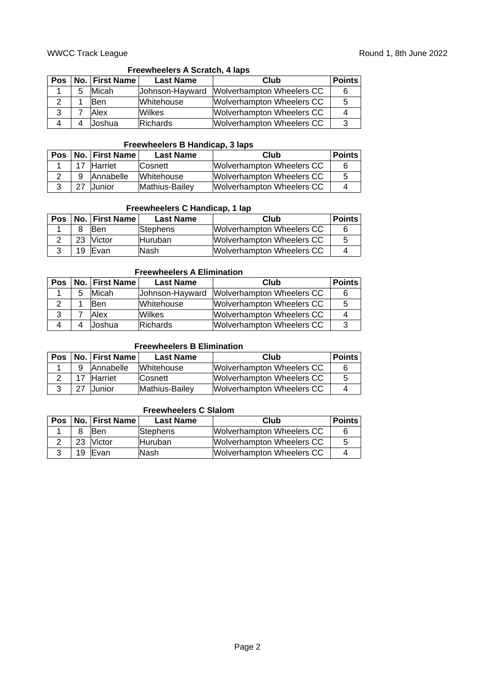## **Freewheelers A Scratch, 4 laps**

| Pos |   | No. First Name | <b>Last Name</b> | Club                      | <b>Points</b> |
|-----|---|----------------|------------------|---------------------------|---------------|
|     | 5 | Micah          | Johnson-Hayward  | Wolverhampton Wheelers CC |               |
|     |   | <b>Ben</b>     | Whitehouse       | Wolverhampton Wheelers CC |               |
|     |   | Alex           | Wilkes           | Wolverhampton Wheelers CC |               |
|     |   | Joshua         | Richards         | Wolverhampton Wheelers CC |               |

#### **Freewheelers B Handicap, 3 laps**

|    | Pos   No.   First Name | <b>Last Name</b> | Club                      | <b>Points</b> |
|----|------------------------|------------------|---------------------------|---------------|
| 17 | <b>Harriet</b>         | <b>Cosnett</b>   | Wolverhampton Wheelers CC | 6             |
| Q  | Annabelle              | Whitehouse       | Wolverhampton Wheelers CC | 5             |
|    | <b>Junior</b>          | Mathius-Bailey   | Wolverhampton Wheelers CC | Δ             |

#### **Freewheelers C Handicap, 1 lap**

| <b>Pos</b> |    | No.   First Name | <b>Last Name</b> | Club                      | <b>Points</b> |
|------------|----|------------------|------------------|---------------------------|---------------|
|            |    | <b>Ben</b>       | Stephens         | Wolverhampton Wheelers CC | 6             |
|            |    | 23 Victor        | Huruban          | Wolverhampton Wheelers CC | -5            |
|            | 19 | <b>IFvan</b>     | lNash            | Wolverhampton Wheelers CC |               |

## **Freewheelers A Elimination**

| <b>Pos</b> |   | <b>No. First Name</b> | <b>Last Name</b> | Club                             | <b>Points</b> |
|------------|---|-----------------------|------------------|----------------------------------|---------------|
|            | 5 | Micah                 | Johnson-Hayward  | Wolverhampton Wheelers CC        | 6             |
|            |   | <b>Ben</b>            | Whitehouse       | <b>Wolverhampton Wheelers CC</b> | 5             |
|            |   | Alex                  | Wilkes           | Wolverhampton Wheelers CC        | 4             |
|            |   | Joshua                | Richards         | <b>Wolverhampton Wheelers CC</b> | -3            |

## **Freewheelers B Elimination**

|    | Pos   No.   First Name | <b>Last Name</b> | Club                      | <b>Points</b> |
|----|------------------------|------------------|---------------------------|---------------|
| q  | <b>Annabelle</b>       | Whitehouse       | Wolverhampton Wheelers CC |               |
| 17 | Harriet                | <b>Cosnett</b>   | Wolverhampton Wheelers CC | 5             |
|    | Junior                 | Mathius-Bailey   | Wolverhampton Wheelers CC |               |

#### **Freewheelers C Slalom**

| <b>Pos</b> |   | No. First Name | <b>Last Name</b> | Club                      | <b>Points</b> |
|------------|---|----------------|------------------|---------------------------|---------------|
|            | 8 | <b>Ben</b>     | Stephens         | Wolverhampton Wheelers CC |               |
|            |   | 23 Victor      | Huruban          | Wolverhampton Wheelers CC | 5             |
|            |   | 19 Evan        | lNash            | Wolverhampton Wheelers CC |               |